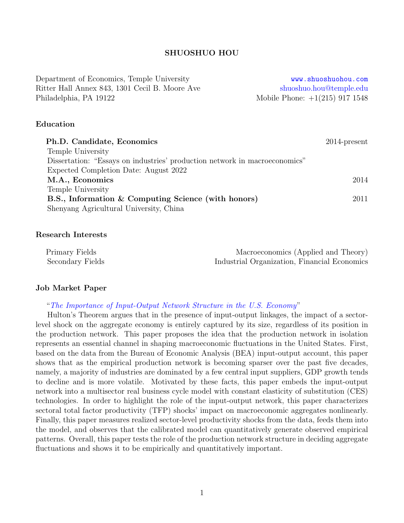# SHUOSHUO HOU

Department of Economics, Temple University **<www.shuoshuohou.com>** Ritter Hall Annex 843, 1301 Cecil B. Moore Ave [shuoshuo.hou@temple.edu](mailto:tue40885@temple.edu) Philadelphia, PA 19122 Mobile Phone: +1(215) 917 1548

## Education

| Ph.D. Candidate, Economics                                                 | $2014$ -present |
|----------------------------------------------------------------------------|-----------------|
| Temple University                                                          |                 |
| Dissertation: "Essays on industries' production network in macroeconomics" |                 |
| Expected Completion Date: August 2022                                      |                 |
| M.A., Economics                                                            | 2014            |
| Temple University                                                          |                 |
| B.S., Information & Computing Science (with honors)                        | 2011            |
| Shenyang Agricultural University, China                                    |                 |

### Research Interests

| Primary Fields   | Macroeconomics (Applied and Theory)          |
|------------------|----------------------------------------------|
| Secondary Fields | Industrial Organization, Financial Economics |

### Job Market Paper

### "[The Importance of Input-Output Network Structure in the U.S. Economy](https://drive.google.com/file/d/14QZuLOvWiOYKMwcW4uU_EoIdb5KNivw6/view)"

Hulton's Theorem argues that in the presence of input-output linkages, the impact of a sectorlevel shock on the aggregate economy is entirely captured by its size, regardless of its position in the production network. This paper proposes the idea that the production network in isolation represents an essential channel in shaping macroeconomic fluctuations in the United States. First, based on the data from the Bureau of Economic Analysis (BEA) input-output account, this paper shows that as the empirical production network is becoming sparser over the past five decades, namely, a majority of industries are dominated by a few central input suppliers, GDP growth tends to decline and is more volatile. Motivated by these facts, this paper embeds the input-output network into a multisector real business cycle model with constant elasticity of substitution (CES) technologies. In order to highlight the role of the input-output network, this paper characterizes sectoral total factor productivity (TFP) shocks' impact on macroeconomic aggregates nonlinearly. Finally, this paper measures realized sector-level productivity shocks from the data, feeds them into the model, and observes that the calibrated model can quantitatively generate observed empirical patterns. Overall, this paper tests the role of the production network structure in deciding aggregate fluctuations and shows it to be empirically and quantitatively important.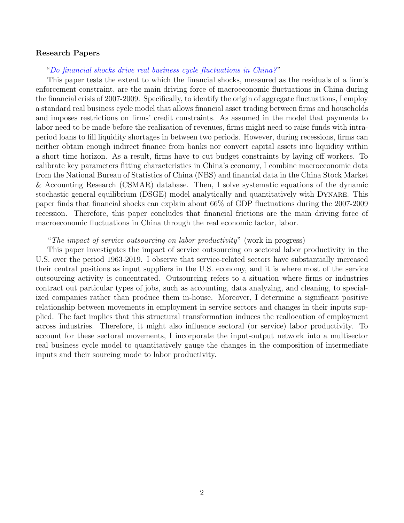#### Research Papers

### "[Do financial shocks drive real business cycle fluctuations in China?](https://drive.google.com/file/d/1-CxOfZkoh6n4aYfigCQcDpMFG0EqceDg/view) "

This paper tests the extent to which the financial shocks, measured as the residuals of a firm's enforcement constraint, are the main driving force of macroeconomic fluctuations in China during the financial crisis of 2007-2009. Specifically, to identify the origin of aggregate fluctuations, I employ a standard real business cycle model that allows financial asset trading between firms and households and imposes restrictions on firms' credit constraints. As assumed in the model that payments to labor need to be made before the realization of revenues, firms might need to raise funds with intraperiod loans to fill liquidity shortages in between two periods. However, during recessions, firms can neither obtain enough indirect finance from banks nor convert capital assets into liquidity within a short time horizon. As a result, firms have to cut budget constraints by laying off workers. To calibrate key parameters fitting characteristics in China's economy, I combine macroeconomic data from the National Bureau of Statistics of China (NBS) and financial data in the China Stock Market & Accounting Research (CSMAR) database. Then, I solve systematic equations of the dynamic stochastic general equilibrium (DSGE) model analytically and quantitatively with Dynare. This paper finds that financial shocks can explain about 66% of GDP fluctuations during the 2007-2009 recession. Therefore, this paper concludes that financial frictions are the main driving force of macroeconomic fluctuations in China through the real economic factor, labor.

### "The impact of service outsourcing on labor productivity" (work in progress)

This paper investigates the impact of service outsourcing on sectoral labor productivity in the U.S. over the period 1963-2019. I observe that service-related sectors have substantially increased their central positions as input suppliers in the U.S. economy, and it is where most of the service outsourcing activity is concentrated. Outsourcing refers to a situation where firms or industries contract out particular types of jobs, such as accounting, data analyzing, and cleaning, to specialized companies rather than produce them in-house. Moreover, I determine a significant positive relationship between movements in employment in service sectors and changes in their inputs supplied. The fact implies that this structural transformation induces the reallocation of employment across industries. Therefore, it might also influence sectoral (or service) labor productivity. To account for these sectoral movements, I incorporate the input-output network into a multisector real business cycle model to quantitatively gauge the changes in the composition of intermediate inputs and their sourcing mode to labor productivity.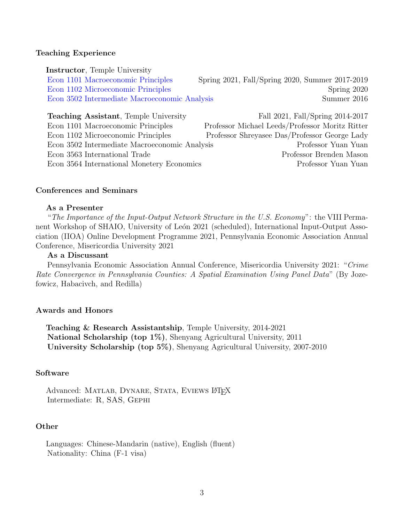### Teaching Experience

Instructor, Temple University

[Econ 1101 Macroeconomic Principles](https://drive.google.com/file/d/1PNfmbxB_EcnDxLmz2jgD4MjLfKkgaoaU/view) Spring 2021, Fall/Spring 2020, Summer 2017-2019 [Econ 1102 Microeconomic Principles](https://drive.google.com/file/d/1DrwsViudX58LG6789EbYAW2rOBlWBrJC/view) Spring 2020 [Econ 3502 Intermediate Macroeconomic Analysis](https://drive.google.com/file/d/1p5MJxfZT3vkbiddeMzr8z_X6ZtNWv1Nu/view) Summer 2016

**Teaching Assistant**, Temple University Fall 2021, Fall/Spring 2014-2017 Econ 1101 Macroeconomic Principles Professor Michael Leeds/Professor Moritz Ritter Econ 1102 Microeconomic Principles Professor Shreyasee Das/Professor George Lady Econ 3502 Intermediate Macroeconomic Analysis Professor Yuan Yuan Econ 3563 International Trade Professor Brenden Mason Econ 3564 International Monetery Economics Professor Yuan Yuan

## Conferences and Seminars

## As a Presenter

"The Importance of the Input-Output Network Structure in the U.S. Economy": the VIII Permanent Workshop of SHAIO, University of León 2021 (scheduled), International Input-Output Association (IIOA) Online Development Programme 2021, Pennsylvania Economic Association Annual Conference, Misericordia University 2021

### As a Discussant

Pennsylvania Economic Association Annual Conference, Misericordia University 2021: "Crime Rate Convergence in Pennsylvania Counties: A Spatial Examination Using Panel Data" (By Jozefowicz, Habacivch, and Redilla)

#### Awards and Honors

Teaching & Research Assistantship, Temple University, 2014-2021 National Scholarship (top 1%), Shenyang Agricultural University, 2011 University Scholarship (top 5%), Shenyang Agricultural University, 2007-2010

#### Software

Advanced: MATLAB, DYNARE, STATA, EVIEWS LATEX Intermediate: R, SAS, Gephi

### **Other**

Languages: Chinese-Mandarin (native), English (fluent) Nationality: China (F-1 visa)